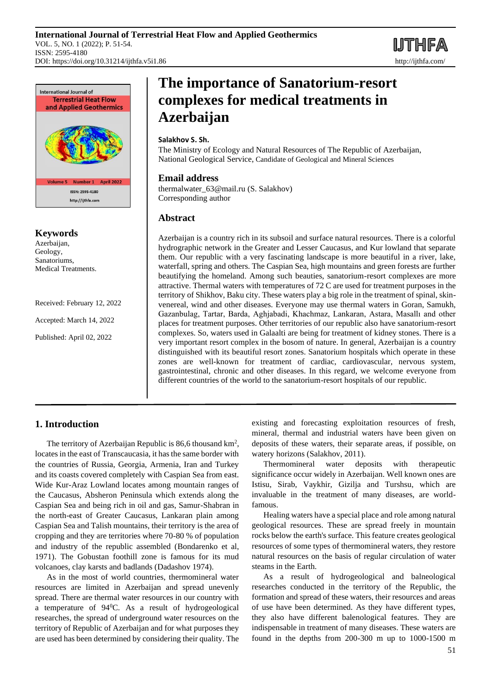**IJTHFA** 



**Keywords**

Azerbaijan, Geology, Sanatoriums, Medical Treatments.

Received: February 12, 2022

Accepted: March 14, 2022

Published: April 02, 2022

# **The importance of Sanatorium-resort complexes for medical treatments in Azerbaijan**

### **Salakhov S. Sh.**

The Ministry of Ecology and Natural Resources of The Republic of Azerbaijan, National Geological Service, Candidate of Geological and Mineral Sciences

### **Email address**

thermalwater\_63@mail.ru (S. Salakhov) Corresponding author

## **Abstract**

Azerbaijan is a country rich in its subsoil and surface natural resources. There is a colorful hydrographic network in the Greater and Lesser Caucasus, and Kur lowland that separate them. Our republic with a very fascinating landscape is more beautiful in a river, lake, waterfall, spring and others. The Caspian Sea, high mountains and green forests are further beautifying the homeland. Among such beauties, sanatorium-resort complexes are more attractive. Thermal waters with temperatures of 72 C are used for treatment purposes in the territory of Shikhov, Baku city. These waters play a big role in the treatment of spinal, skinvenereal, wind and other diseases. Everyone may use thermal waters in Goran, Samukh, Gazanbulag, Tartar, Barda, Aghjabadi, Khachmaz, Lankaran, Astara, Masallı and other places for treatment purposes. Other territories of our republic also have sanatorium-resort complexes. So, waters used in Galaalti are being for treatment of kidney stones. There is a very important resort complex in the bosom of nature. In general, Azerbaijan is a country distinguished with its beautiful resort zones. Sanatorium hospitals which operate in these zones are well-known for treatment of cardiac, cardiovascular, nervous system, gastrointestinal, chronic and other diseases. In this regard, we welcome everyone from different countries of the world to the sanatorium-resort hospitals of our republic.

## **1. Introduction**

The territory of Azerbaijan Republic is 86,6 thousand  $km^2$ , locates in the east of Transcaucasia, it has the same border with the countries of Russia, Georgia, Armenia, Iran and Turkey and its coasts covered completely with Caspian Sea from east. Wide Kur-Araz Lowland locates among mountain ranges of the Caucasus, Absheron Peninsula which extends along the Caspian Sea and being rich in oil and gas, Samur-Shabran in the north-east of Greater Caucasus, Lankaran plain among Caspian Sea and Talish mountains, their territory is the area of cropping and they are territories where 70-80 % of population and industry of the republic assembled (Bondarenko et al, 1971). The Gobustan foothill zone is famous for its mud volcanoes, clay karsts and badlands (Dadashov 1974).

As in the most of world countries, thermomineral water resources are limited in Azerbaijan and spread unevenly spread. There are thermal water resources in our country with a temperature of 94<sup>0</sup>C. As a result of hydrogeological researches, the spread of underground water resources on the territory of Republic of Azerbaijan and for what purposes they are used has been determined by considering their quality. The existing and forecasting exploitation resources of fresh, mineral, thermal and industrial waters have been given on deposits of these waters, their separate areas, if possible, on watery horizons (Salakhov, 2011).

Thermomineral water deposits with therapeutic significance occur widely in Azerbaijan. Well known ones are Istisu, Sirab, Vaykhir, Gizilja and Turshsu, which are invaluable in the treatment of many diseases, are worldfamous.

Healing waters have a special place and role among natural geological resources. These are spread freely in mountain rocks below the earth's surface. This feature creates geological resources of some types of thermomineral waters, they restore natural resources on the basis of regular circulation of water steams in the Earth.

As a result of hydrogeological and balneological researches conducted in the territory of the Republic, the formation and spread of these waters, their resources and areas of use have been determined. As they have different types, they also have different balenological features. They are indispensable in treatment of many diseases. These waters are found in the depths from 200-300 m up to 1000-1500 m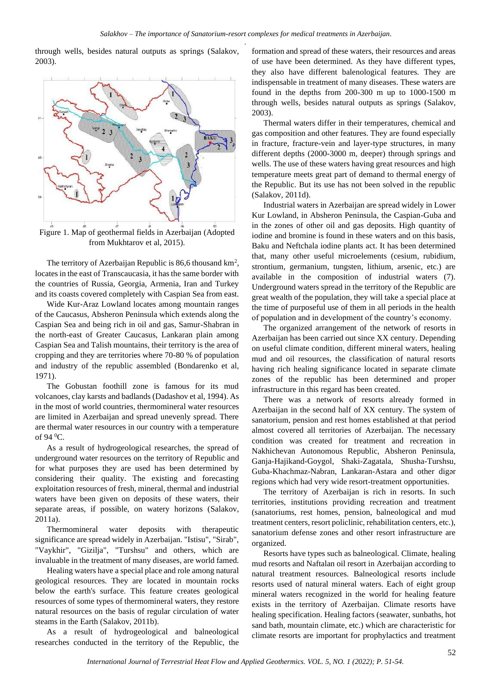through wells, besides natural outputs as springs (Salakov, 2003).



from Mukhtarov et al, 2015).

The territory of Azerbaijan Republic is 86,6 thousand  $km^2$ , locates in the east of Transcaucasia, it has the same border with the countries of Russia, Georgia, Armenia, Iran and Turkey and its coasts covered completely with Caspian Sea from east.

Wide Kur-Araz Lowland locates among mountain ranges of the Caucasus, Absheron Peninsula which extends along the Caspian Sea and being rich in oil and gas, Samur-Shabran in the north-east of Greater Caucasus, Lankaran plain among Caspian Sea and Talish mountains, their territory is the area of cropping and they are territories where 70-80 % of population and industry of the republic assembled (Bondarenko et al, 1971).

The Gobustan foothill zone is famous for its mud volcanoes, clay karsts and badlands (Dadashov et al, 1994). As in the most of world countries, thermomineral water resources are limited in Azerbaijan and spread unevenly spread. There are thermal water resources in our country with a temperature of 94 $\mathrm{^0C}$ .

As a result of hydrogeological researches, the spread of underground water resources on the territory of Republic and for what purposes they are used has been determined by considering their quality. The existing and forecasting exploitation resources of fresh, mineral, thermal and industrial waters have been given on deposits of these waters, their separate areas, if possible, on watery horizons (Salakov, 2011a).

Thermomineral water deposits with therapeutic significance are spread widely in Azerbaijan. "Istisu", "Sirab", "Vaykhir", "Gizilja", "Turshsu" and others, which are invaluable in the treatment of many diseases, are world famed.

Healing waters have a special place and role among natural geological resources. They are located in mountain rocks below the earth's surface. This feature creates geological resources of some types of thermomineral waters, they restore natural resources on the basis of regular circulation of water steams in the Earth (Salakov, 2011b).

As a result of hydrogeological and balneological researches conducted in the territory of the Republic, the formation and spread of these waters, their resources and areas of use have been determined. As they have different types, they also have different balenological features. They are indispensable in treatment of many diseases. These waters are found in the depths from 200-300 m up to 1000-1500 m through wells, besides natural outputs as springs (Salakov, 2003).

Thermal waters differ in their temperatures, chemical and gas composition and other features. They are found especially in fracture, fracture-vein and layer-type structures, in many different depths (2000-3000 m, deeper) through springs and wells. The use of these waters having great resources and high temperature meets great part of demand to thermal energy of the Republic. But its use has not been solved in the republic (Salakov, 2011d).

Industrial waters in Azerbaijan are spread widely in Lower Kur Lowland, in Absheron Peninsula, the Caspian-Guba and in the zones of other oil and gas deposits. High quantity of iodine and bromine is found in these waters and on this basis, Baku and Neftchala iodine plants act. It has been determined that, many other useful microelements (cesium, rubidium, strontium, germanium, tungsten, lithium, arsenic, etc.) are available in the composition of industrial waters (7). Underground waters spread in the territory of the Republic are great wealth of the population, they will take a special place at the time of purposeful use of them in all periods in the health of population and in development of the country's economy.

The organized arrangement of the network of resorts in Azerbaijan has been carried out since XX century. Depending on useful climate condition, different mineral waters, healing mud and oil resources, the classification of natural resorts having rich healing significance located in separate climate zones of the republic has been determined and proper infrastructure in this regard has been created.

There was a network of resorts already formed in Azerbaijan in the second half of XX century. The system of sanatorium, pension and rest homes established at that period almost covered all territories of Azerbaijan. The necessary condition was created for treatment and recreation in Nakhichevan Autonomous Republic, Absheron Peninsula, Ganja-Hajikand-Goygol, Shaki-Zagatala, Shusha-Turshsu, Guba-Khachmaz-Nabran, Lankaran-Astara and other digər regions which had very wide resort-treatment opportunities.

The territory of Azerbaijan is rich in resorts. In such territories, institutions providing recreation and treatment (sanatoriums, rest homes, pension, balneological and mud treatment centers, resort policlinic, rehabilitation centers, etc.), sanatorium defense zones and other resort infrastructure are organized.

Resorts have types such as balneological. Climate, healing mud resorts and Naftalan oil resort in Azerbaijan according to natural treatment resources. Balneological resorts include resorts used of natural mineral waters. Each of eight group mineral waters recognized in the world for healing feature exists in the territory of Azerbaijan. Climate resorts have healing specification. Healing factors (seawater, sunbaths, hot sand bath, mountain climate, etc.) which are characteristic for climate resorts are important for prophylactics and treatment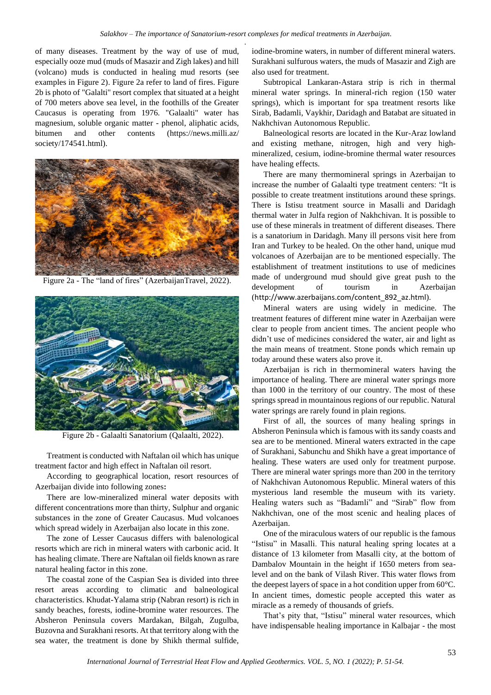of many diseases. Treatment by the way of use of mud, especially ooze mud (muds of Masazir and Zigh lakes) and hill (volcano) muds is conducted in healing mud resorts (see examples in Figure 2). Figure 2a refer to land of fires. Figure 2b is photo of "Galalti" resort complex that situated at a height of 700 meters above sea level, in the foothills of the Greater Caucasus is operating from 1976. "Galaalti" water has magnesium, soluble organic matter - phenol, aliphatic acids, bitumen and other contents (https://news.milli.az/ society/174541.html).



Figure 2a - The "land of fires" (AzerbaijanTravel, 2022).



Figure 2b - Galaalti Sanatorium (Qalaalti, 2022).

Treatment is conducted with Naftalan oil which has unique treatment factor and high effect in Naftalan oil resort.

According to geographical location, resort resources of Azerbaijan divide into following zones**:**

There are low-mineralized mineral water deposits with different concentrations more than thirty, Sulphur and organic substances in the zone of Greater Caucasus. Mud volcanoes which spread widely in Azerbaijan also locate in this zone.

The zone of Lesser Caucasus differs with balenological resorts which are rich in mineral waters with carbonic acid. It has healing climate. There are Naftalan oil fields known as rare natural healing factor in this zone.

The coastal zone of the Caspian Sea is divided into three resort areas according to climatic and balneological characteristics. Khudat-Yalama strip (Nabran resort) is rich in sandy beaches, forests, iodine-bromine water resources. The Absheron Peninsula covers Mardakan, Bilgah, Zugulba, Buzovna and Surakhani resorts. At that territory along with the sea water, the treatment is done by Shikh thermal sulfide,

iodine-bromine waters, in number of different mineral waters. Surakhani sulfurous waters, the muds of Masazir and Zigh are also used for treatment.

Subtropical Lankaran-Astara strip is rich in thermal mineral water springs. In mineral-rich region (150 water springs), which is important for spa treatment resorts like Sirab, Badamli, Vaykhir, Daridagh and Batabat are situated in Nakhchivan Autonomous Republic.

Balneological resorts are located in the Kur-Araz lowland and existing methane, nitrogen, high and very highmineralized, cesium, iodine-bromine thermal water resources have healing effects.

There are many thermomineral springs in Azerbaijan to increase the number of Galaalti type treatment centers: "It is possible to create treatment institutions around these springs. There is Istisu treatment source in Masalli and Daridagh thermal water in Julfa region of Nakhchivan. It is possible to use of these minerals in treatment of different diseases. There is a sanatorium in Daridagh. Many ill persons visit here from Iran and Turkey to be healed. On the other hand, unique mud volcanoes of Azerbaijan are to be mentioned especially. The establishment of treatment institutions to use of medicines made of underground mud should give great push to the development of tourism in Azerbaijan ([http://www.azerbaijans.com/content\\_892\\_az.html](http://www.azerbaijans.com/content_892_az.html)).

Mineral waters are using widely in medicine. The treatment features of different mine water in Azerbaijan were clear to people from ancient times. The ancient people who didn't use of medicines considered the water, air and light as the main means of treatment. Stone ponds which remain up today around these waters also prove it.

Azerbaijan is rich in thermomineral waters having the importance of healing. There are mineral water springs more than 1000 in the territory of our country. The most of these springs spread in mountainous regions of our republic. Natural water springs are rarely found in plain regions.

First of all, the sources of many healing springs in Absheron Peninsula which is famous with its sandy coasts and sea are to be mentioned. Mineral waters extracted in the cape of Surakhani, Sabunchu and Shikh have a great importance of healing. These waters are used only for treatment purpose. There are mineral water springs more than 200 in the territory of Nakhchivan Autonomous Republic. Mineral waters of this mysterious land resemble the museum with its variety. Healing waters such as "Badamli" and "Sirab" flow from Nakhchivan, one of the most scenic and healing places of Azerbaijan.

One of the miraculous waters of our republic is the famous "Istisu" in Masalli. This natural healing spring locates at a distance of 13 kilometer from Masalli city, at the bottom of Dambalov Mountain in the height if 1650 meters from sealevel and on the bank of Vilash River. This water flows from the deepest layers of space in a hot condition upper from 60°C. In ancient times, domestic people accepted this water as miracle as a remedy of thousands of griefs.

That's pity that, "Istisu" mineral water resources, which have indispensable healing importance in Kalbajar - the most